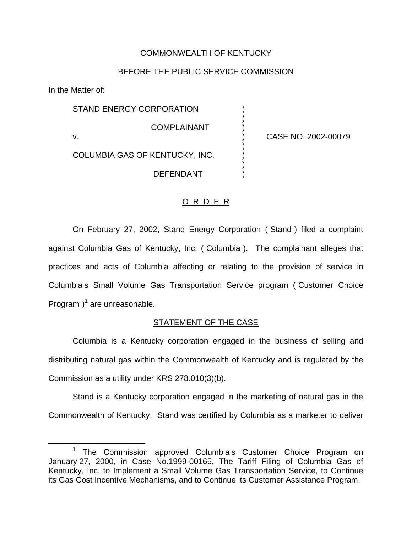### COMMONWEALTH OF KENTUCKY

#### BEFORE THE PUBLIC SERVICE COMMISSION

)

)

)

In the Matter of:

STAND ENERGY CORPORATION **COMPLAINANT** v. ) CASE NO. 2002-00079

# COLUMBIA GAS OF KENTUCKY, INC. )

**DEFENDANT** 

### O R D E R

On February 27, 2002, Stand Energy Corporation ( Stand ) filed a complaint against Columbia Gas of Kentucky, Inc. ( Columbia ). The complainant alleges that practices and acts of Columbia affecting or relating to the provision of service in Columbia s Small Volume Gas Transportation Service program ( Customer Choice Program  $)^1$  are unreasonable.

## STATEMENT OF THE CASE

Columbia is a Kentucky corporation engaged in the business of selling and distributing natural gas within the Commonwealth of Kentucky and is regulated by the Commission as a utility under KRS 278.010(3)(b).

Stand is a Kentucky corporation engaged in the marketing of natural gas in the Commonwealth of Kentucky. Stand was certified by Columbia as a marketer to deliver

<sup>&</sup>lt;sup>1</sup> The Commission approved Columbia s Customer Choice Program on January 27, 2000, in Case No.1999-00165, The Tariff Filing of Columbia Gas of Kentucky, Inc. to Implement a Small Volume Gas Transportation Service, to Continue its Gas Cost Incentive Mechanisms, and to Continue its Customer Assistance Program.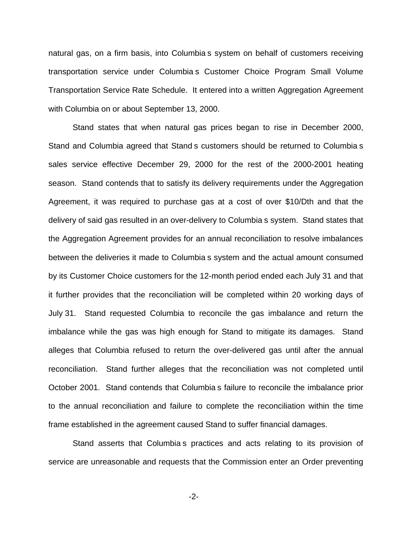natural gas, on a firm basis, into Columbia s system on behalf of customers receiving transportation service under Columbia s Customer Choice Program Small Volume Transportation Service Rate Schedule. It entered into a written Aggregation Agreement with Columbia on or about September 13, 2000.

Stand states that when natural gas prices began to rise in December 2000, Stand and Columbia agreed that Stand s customers should be returned to Columbia s sales service effective December 29, 2000 for the rest of the 2000-2001 heating season. Stand contends that to satisfy its delivery requirements under the Aggregation Agreement, it was required to purchase gas at a cost of over \$10/Dth and that the delivery of said gas resulted in an over-delivery to Columbia s system. Stand states that the Aggregation Agreement provides for an annual reconciliation to resolve imbalances between the deliveries it made to Columbia s system and the actual amount consumed by its Customer Choice customers for the 12-month period ended each July 31 and that it further provides that the reconciliation will be completed within 20 working days of July 31. Stand requested Columbia to reconcile the gas imbalance and return the imbalance while the gas was high enough for Stand to mitigate its damages. Stand alleges that Columbia refused to return the over-delivered gas until after the annual reconciliation. Stand further alleges that the reconciliation was not completed until October 2001. Stand contends that Columbia s failure to reconcile the imbalance prior to the annual reconciliation and failure to complete the reconciliation within the time frame established in the agreement caused Stand to suffer financial damages.

Stand asserts that Columbia s practices and acts relating to its provision of service are unreasonable and requests that the Commission enter an Order preventing

-2-